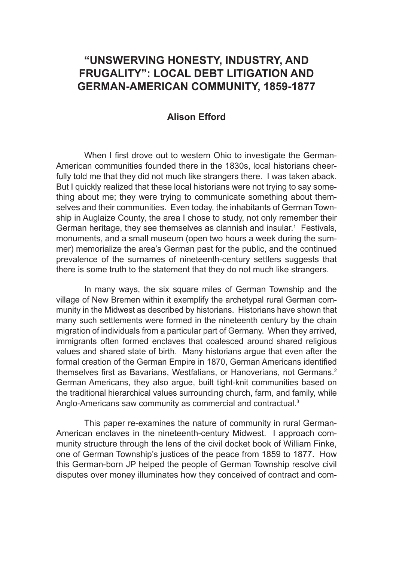# **"UNSWERVING HONESTY, INDUSTRY, AND FRUGALITY": LOCAL DEBT LITIGATION AND GERMAN-AMERICAN COMMUNITY, 1859-1877**

## **Alison Efford**

When I first drove out to western Ohio to investigate the German-American communities founded there in the 1830s, local historians cheerfully told me that they did not much like strangers there. I was taken aback. But I quickly realized that these local historians were not trying to say something about me; they were trying to communicate something about themselves and their communities. Even today, the inhabitants of German Township in Auglaize County, the area I chose to study, not only remember their German heritage, they see themselves as clannish and insular.<sup>1</sup> Festivals, monuments, and a small museum (open two hours a week during the summer) memorialize the area's German past for the public, and the continued prevalence of the surnames of nineteenth-century settlers suggests that there is some truth to the statement that they do not much like strangers.

In many ways, the six square miles of German Township and the village of New Bremen within it exemplify the archetypal rural German community in the Midwest as described by historians. Historians have shown that many such settlements were formed in the nineteenth century by the chain migration of individuals from a particular part of Germany. When they arrived, immigrants often formed enclaves that coalesced around shared religious values and shared state of birth. Many historians argue that even after the formal creation of the German Empire in 1870, German Americans identified themselves first as Bavarians, Westfalians, or Hanoverians, not Germans.<sup>2</sup> German Americans, they also argue, built tight-knit communities based on the traditional hierarchical values surrounding church, farm, and family, while Anglo-Americans saw community as commercial and contractual.<sup>3</sup>

This paper re-examines the nature of community in rural German-American enclaves in the nineteenth-century Midwest. I approach community structure through the lens of the civil docket book of William Finke, one of German Township's justices of the peace from 1859 to 1877. How this German-born JP helped the people of German Township resolve civil disputes over money illuminates how they conceived of contract and com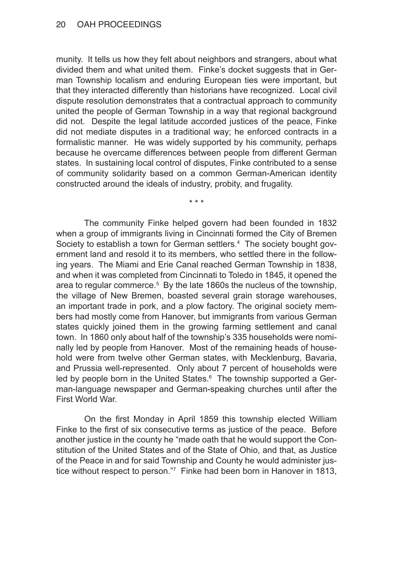munity. It tells us how they felt about neighbors and strangers, about what divided them and what united them. Finke's docket suggests that in German Township localism and enduring European ties were important, but that they interacted differently than historians have recognized. Local civil dispute resolution demonstrates that a contractual approach to community united the people of German Township in a way that regional background did not. Despite the legal latitude accorded justices of the peace, Finke did not mediate disputes in a traditional way; he enforced contracts in a formalistic manner. He was widely supported by his community, perhaps because he overcame differences between people from different German states. In sustaining local control of disputes, Finke contributed to a sense of community solidarity based on a common German-American identity constructed around the ideals of industry, probity, and frugality.

\* \* \*

The community Finke helped govern had been founded in 1832 when a group of immigrants living in Cincinnati formed the City of Bremen Society to establish a town for German settlers.<sup>4</sup> The society bought government land and resold it to its members, who settled there in the following years. The Miami and Erie Canal reached German Township in 1838, and when it was completed from Cincinnati to Toledo in 1845, it opened the area to regular commerce.<sup>5</sup> By the late 1860s the nucleus of the township, the village of New Bremen, boasted several grain storage warehouses, an important trade in pork, and a plow factory. The original society members had mostly come from Hanover, but immigrants from various German states quickly joined them in the growing farming settlement and canal town. In 1860 only about half of the township's 335 households were nominally led by people from Hanover. Most of the remaining heads of household were from twelve other German states, with Mecklenburg, Bavaria, and Prussia well-represented. Only about 7 percent of households were led by people born in the United States.<sup>6</sup> The township supported a German-language newspaper and German-speaking churches until after the First World War.

On the first Monday in April 1859 this township elected William Finke to the first of six consecutive terms as justice of the peace. Before another justice in the county he "made oath that he would support the Constitution of the United States and of the State of Ohio, and that, as Justice of the Peace in and for said Township and County he would administer justice without respect to person."7 Finke had been born in Hanover in 1813,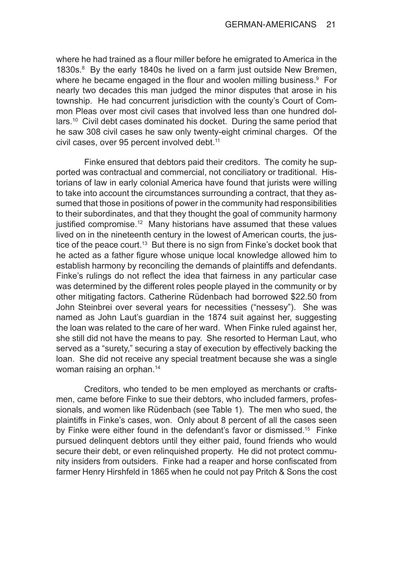where he had trained as a flour miller before he emigrated to America in the 1830s.<sup>8</sup> By the early 1840s he lived on a farm just outside New Bremen, where he became engaged in the flour and woolen milling business.<sup>9</sup> For nearly two decades this man judged the minor disputes that arose in his township. He had concurrent jurisdiction with the county's Court of Common Pleas over most civil cases that involved less than one hundred dollars.<sup>10</sup> Civil debt cases dominated his docket. During the same period that he saw 308 civil cases he saw only twenty-eight criminal charges. Of the civil cases, over 95 percent involved debt.<sup>11</sup>

Finke ensured that debtors paid their creditors. The comity he supported was contractual and commercial, not conciliatory or traditional. Historians of law in early colonial America have found that jurists were willing to take into account the circumstances surrounding a contract, that they assumed that those in positions of power in the community had responsibilities to their subordinates, and that they thought the goal of community harmony justified compromise.<sup>12</sup> Many historians have assumed that these values lived on in the nineteenth century in the lowest of American courts, the justice of the peace court.<sup>13</sup> But there is no sign from Finke's docket book that he acted as a father figure whose unique local knowledge allowed him to establish harmony by reconciling the demands of plaintiffs and defendants. Finke's rulings do not reflect the idea that fairness in any particular case was determined by the different roles people played in the community or by other mitigating factors. Catherine Rüdenbach had borrowed \$22.50 from John Steinbrei over several years for necessities ("nessesy"). She was named as John Laut's guardian in the 1874 suit against her, suggesting the loan was related to the care of her ward. When Finke ruled against her, she still did not have the means to pay. She resorted to Herman Laut, who served as a "surety," securing a stay of execution by effectively backing the loan. She did not receive any special treatment because she was a single woman raising an orphan.<sup>14</sup>

Creditors, who tended to be men employed as merchants or craftsmen, came before Finke to sue their debtors, who included farmers, professionals, and women like Rüdenbach (see Table 1). The men who sued, the plaintiffs in Finke's cases, won. Only about 8 percent of all the cases seen by Finke were either found in the defendant's favor or dismissed.<sup>15</sup> Finke pursued delinquent debtors until they either paid, found friends who would secure their debt, or even relinquished property. He did not protect community insiders from outsiders. Finke had a reaper and horse confiscated from farmer Henry Hirshfeld in 1865 when he could not pay Pritch & Sons the cost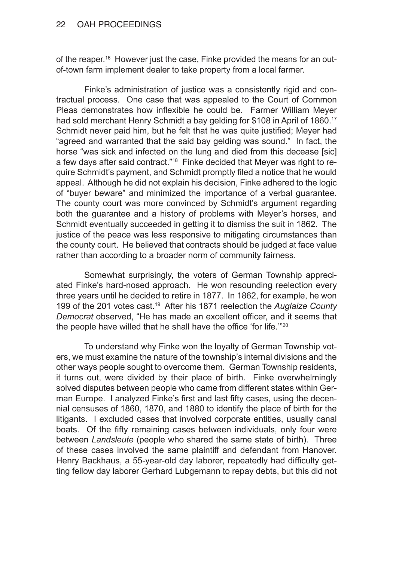### 22 OAH PROCEEDINGS

of the reaper.16 However just the case, Finke provided the means for an outof-town farm implement dealer to take property from a local farmer.

Finke's administration of justice was a consistently rigid and contractual process. One case that was appealed to the Court of Common Pleas demonstrates how inflexible he could be. Farmer William Meyer had sold merchant Henry Schmidt a bay gelding for \$108 in April of 1860.<sup>17</sup> Schmidt never paid him, but he felt that he was quite justified; Meyer had "agreed and warranted that the said bay gelding was sound." In fact, the horse "was sick and infected on the lung and died from this decease [sic] a few days after said contract."<sup>18</sup> Finke decided that Meyer was right to require Schmidt's payment, and Schmidt promptly filed a notice that he would appeal. Although he did not explain his decision, Finke adhered to the logic of "buyer beware" and minimized the importance of a verbal guarantee. The county court was more convinced by Schmidt's argument regarding both the guarantee and a history of problems with Meyer's horses, and Schmidt eventually succeeded in getting it to dismiss the suit in 1862. The justice of the peace was less responsive to mitigating circumstances than the county court. He believed that contracts should be judged at face value rather than according to a broader norm of community fairness.

Somewhat surprisingly, the voters of German Township appreciated Finke's hard-nosed approach. He won resounding reelection every three years until he decided to retire in 1877. In 1862, for example, he won 199 of the 201 votes cast.19 After his 1871 reelection the *Auglaize County Democrat* observed, "He has made an excellent officer, and it seems that the people have willed that he shall have the office 'for life."<sup>20</sup>

To understand why Finke won the loyalty of German Township voters, we must examine the nature of the township's internal divisions and the other ways people sought to overcome them. German Township residents, it turns out, were divided by their place of birth. Finke overwhelmingly solved disputes between people who came from different states within German Europe. I analyzed Finke's first and last fifty cases, using the decennial censuses of 1860, 1870, and 1880 to identify the place of birth for the litigants. I excluded cases that involved corporate entities, usually canal boats. Of the fifty remaining cases between individuals, only four were between *Landsleute* (people who shared the same state of birth). Three of these cases involved the same plaintiff and defendant from Hanover. Henry Backhaus, a 55-year-old day laborer, repeatedly had difficulty getting fellow day laborer Gerhard Lubgemann to repay debts, but this did not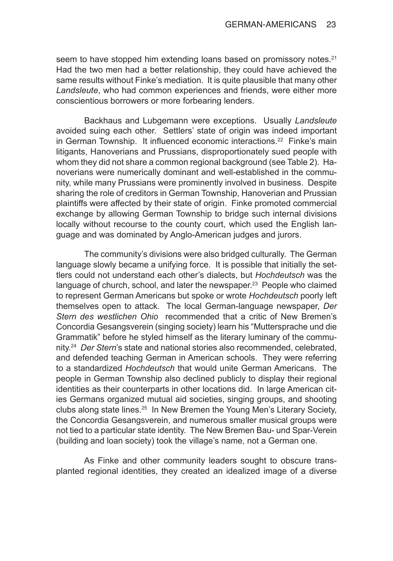seem to have stopped him extending loans based on promissory notes.<sup>21</sup> Had the two men had a better relationship, they could have achieved the same results without Finke's mediation. It is quite plausible that many other *Landsleute*, who had common experiences and friends, were either more conscientious borrowers or more forbearing lenders.

Backhaus and Lubgemann were exceptions. Usually *Landsleute* avoided suing each other. Settlers' state of origin was indeed important in German Township. It influenced economic interactions.<sup>22</sup> Finke's main litigants, Hanoverians and Prussians, disproportionately sued people with whom they did not share a common regional background (see Table 2). Hanoverians were numerically dominant and well-established in the community, while many Prussians were prominently involved in business. Despite sharing the role of creditors in German Township, Hanoverian and Prussian plaintiffs were affected by their state of origin. Finke promoted commercial exchange by allowing German Township to bridge such internal divisions locally without recourse to the county court, which used the English language and was dominated by Anglo-American judges and jurors.

The community's divisions were also bridged culturally. The German language slowly became a unifying force. It is possible that initially the settlers could not understand each other's dialects, but *Hochdeutsch* was the language of church, school, and later the newspaper. $23$  People who claimed to represent German Americans but spoke or wrote *Hochdeutsch* poorly left themselves open to attack. The local German-language newspaper, *Der Stern des westlichen Ohio* recommended that a critic of New Bremen's Concordia Gesangsverein (singing society) learn his "Muttersprache und die Grammatik" before he styled himself as the literary luminary of the community.24 *Der Stern*'s state and national stories also recommended, celebrated, and defended teaching German in American schools. They were referring to a standardized *Hochdeutsch* that would unite German Americans. The people in German Township also declined publicly to display their regional identities as their counterparts in other locations did. In large American cities Germans organized mutual aid societies, singing groups, and shooting clubs along state lines.<sup>25</sup> In New Bremen the Young Men's Literary Society, the Concordia Gesangsverein, and numerous smaller musical groups were not tied to a particular state identity. The New Bremen Bau- und Spar-Verein (building and loan society) took the village's name, not a German one.

As Finke and other community leaders sought to obscure transplanted regional identities, they created an idealized image of a diverse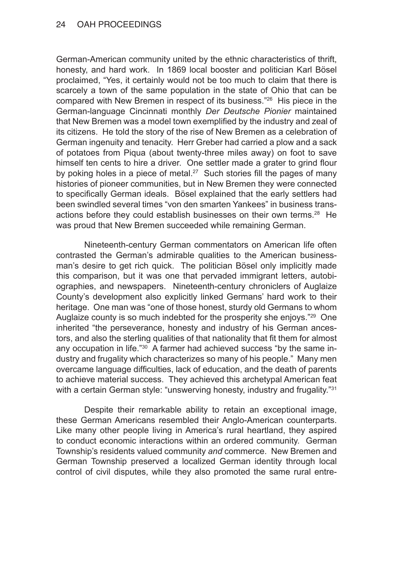German-American community united by the ethnic characteristics of thrift, honesty, and hard work. In 1869 local booster and politician Karl Bösel proclaimed, "Yes, it certainly would not be too much to claim that there is scarcely a town of the same population in the state of Ohio that can be compared with New Bremen in respect of its business."26 His piece in the German-language Cincinnati monthly *Der Deutsche Pionier* maintained that New Bremen was a model town exemplified by the industry and zeal of its citizens. He told the story of the rise of New Bremen as a celebration of German ingenuity and tenacity. Herr Greber had carried a plow and a sack of potatoes from Piqua (about twenty-three miles away) on foot to save himself ten cents to hire a driver. One settler made a grater to grind flour by poking holes in a piece of metal.<sup>27</sup> Such stories fill the pages of many histories of pioneer communities, but in New Bremen they were connected to specifically German ideals. Bösel explained that the early settlers had been swindled several times "von den smarten Yankees" in business transactions before they could establish businesses on their own terms.28 He was proud that New Bremen succeeded while remaining German.

Nineteenth-century German commentators on American life often contrasted the German's admirable qualities to the American businessman's desire to get rich quick. The politician Bösel only implicitly made this comparison, but it was one that pervaded immigrant letters, autobiographies, and newspapers. Nineteenth-century chroniclers of Auglaize County's development also explicitly linked Germans' hard work to their heritage. One man was "one of those honest, sturdy old Germans to whom Auglaize county is so much indebted for the prosperity she enjoys.<sup>"29</sup> One inherited "the perseverance, honesty and industry of his German ancestors, and also the sterling qualities of that nationality that fit them for almost any occupation in life."<sup>30</sup> A farmer had achieved success "by the same industry and frugality which characterizes so many of his people." Many men overcame language difficulties, lack of education, and the death of parents to achieve material success. They achieved this archetypal American feat with a certain German style: "unswerving honesty, industry and frugality."<sup>31</sup>

Despite their remarkable ability to retain an exceptional image, these German Americans resembled their Anglo-American counterparts. Like many other people living in America's rural heartland, they aspired to conduct economic interactions within an ordered community. German Township's residents valued community *and* commerce. New Bremen and German Township preserved a localized German identity through local control of civil disputes, while they also promoted the same rural entre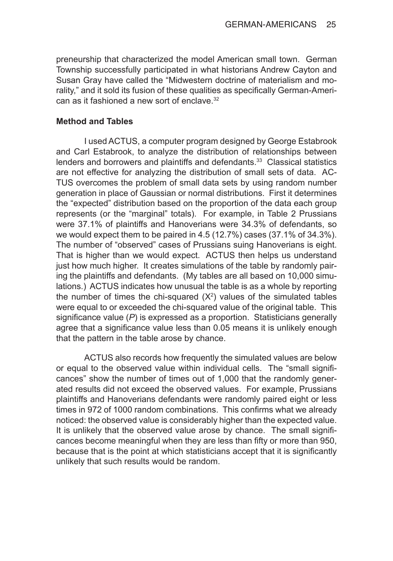preneurship that characterized the model American small town. German Township successfully participated in what historians Andrew Cayton and Susan Gray have called the "Midwestern doctrine of materialism and morality," and it sold its fusion of these qualities as specifically German-American as it fashioned a new sort of enclave.<sup>32</sup>

#### **Method and Tables**

I used ACTUS, a computer program designed by George Estabrook and Carl Estabrook, to analyze the distribution of relationships between lenders and borrowers and plaintiffs and defendants.<sup>33</sup> Classical statistics are not effective for analyzing the distribution of small sets of data. AC-TUS overcomes the problem of small data sets by using random number generation in place of Gaussian or normal distributions. First it determines the "expected" distribution based on the proportion of the data each group represents (or the "marginal" totals). For example, in Table 2 Prussians were 37.1% of plaintiffs and Hanoverians were 34.3% of defendants, so we would expect them to be paired in 4.5 (12.7%) cases (37.1% of 34.3%). The number of "observed" cases of Prussians suing Hanoverians is eight. That is higher than we would expect. ACTUS then helps us understand just how much higher. It creates simulations of the table by randomly pairing the plaintiffs and defendants. (My tables are all based on 10,000 simulations.) ACTUS indicates how unusual the table is as a whole by reporting the number of times the chi-squared  $(X^2)$  values of the simulated tables were equal to or exceeded the chi-squared value of the original table. This significance value (*P*) is expressed as a proportion. Statisticians generally agree that a significance value less than 0.05 means it is unlikely enough that the pattern in the table arose by chance.

ACTUS also records how frequently the simulated values are below or equal to the observed value within individual cells. The "small significances" show the number of times out of 1,000 that the randomly generated results did not exceed the observed values. For example, Prussians plaintiffs and Hanoverians defendants were randomly paired eight or less times in 972 of 1000 random combinations. This confirms what we already noticed: the observed value is considerably higher than the expected value. It is unlikely that the observed value arose by chance. The small significances become meaningful when they are less than fifty or more than 950, because that is the point at which statisticians accept that it is significantly unlikely that such results would be random.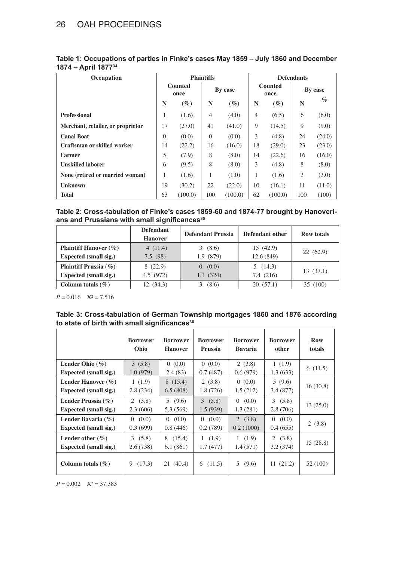| Occupation                         | <b>Plaintiffs</b> |         |          | <b>Defendants</b> |                        |         |         |        |
|------------------------------------|-------------------|---------|----------|-------------------|------------------------|---------|---------|--------|
|                                    | Counted<br>once   |         | By case  |                   | <b>Counted</b><br>once |         | By case |        |
|                                    | N                 | $(\%)$  | N        | $(\%)$            | N                      | $(\%)$  | N       | $\%$   |
| <b>Professional</b>                | -1                | (1.6)   | 4        | (4.0)             | 4                      | (6.5)   | 6       | (6.0)  |
| Merchant, retailer, or proprietor  | 17                | (27.0)  | 41       | (41.0)            | 9                      | (14.5)  | 9       | (9.0)  |
| <b>Canal Boat</b>                  | $\Omega$          | (0.0)   | $\Omega$ | (0.0)             | 3                      | (4.8)   | 24      | (24.0) |
| <b>Craftsman or skilled worker</b> | 14                | (22.2)  | 16       | (16.0)            | 18                     | (29.0)  | 23      | (23.0) |
| <b>Farmer</b>                      | 5                 | (7.9)   | 8        | (8.0)             | 14                     | (22.6)  | 16      | (16.0) |
| <b>Unskilled laborer</b>           | 6                 | (9.5)   | 8        | (8.0)             | 3                      | (4.8)   | 8       | (8.0)  |
| None (retired or married woman)    |                   | (1.6)   | I.       | (1.0)             | 1                      | (1.6)   | 3       | (3.0)  |
| <b>Unknown</b>                     | 19                | (30.2)  | 22       | (22.0)            | 10                     | (16.1)  | 11      | (11.0) |
| <b>Total</b>                       | 63                | (100.0) | 100      | (100.0)           | 62                     | (100.0) | 100     | (100)  |

| Table 1: Occupations of parties in Finke's cases May 1859 – July 1860 and December |
|------------------------------------------------------------------------------------|
| 1874 – April 1877 <sup>34</sup>                                                    |

**Table 2: Cross-tabulation of Finke's cases 1859-60 and 1874-77 brought by Hanoverians and Prussians with small significances<sup>35</sup>**

|                              | <b>Defendant</b><br><b>Hanover</b> | <b>Defendant Prussia</b> | Defendant other | <b>Row totals</b> |  |
|------------------------------|------------------------------------|--------------------------|-----------------|-------------------|--|
|                              |                                    |                          |                 |                   |  |
| <b>Plaintiff Hanover</b> (%) | 4(11.4)                            | (8.6)<br>3               | 15(42.9)        | 22(62.9)          |  |
| Expected (small sig.)        | 7.5(98)                            | 1.9(879)                 | 12.6 (849)      |                   |  |
| <b>Plaintiff Prussia</b> (%) | 8(22.9)                            | (0.0)<br>$\Omega$        | 5(14.3)         | 13(37.1)          |  |
| Expected (small sig.)        | 4.5 (972)                          | 1.1(324)                 | 7.4(216)        |                   |  |
| Column totals $(\% )$        | 12 (34.3)                          | (8.6)                    | 20(57.1)        | 35 (100)          |  |

 $P = 0.016$   $X^2 = 7.516$ 

| Table 3: Cross-tabulation of German Township mortgages 1860 and 1876 according |  |  |  |
|--------------------------------------------------------------------------------|--|--|--|
| to state of birth with small significances <sup>36</sup>                       |  |  |  |

|                                               | <b>Borrower</b>    | <b>Borrower</b>         | <b>Borrower</b>               | <b>Borrower</b>     | <b>Borrower</b>    | <b>Row</b> |
|-----------------------------------------------|--------------------|-------------------------|-------------------------------|---------------------|--------------------|------------|
|                                               | Ohio               | <b>Hanover</b>          | Prussia                       | <b>Bavaria</b>      | other              | totals     |
| Lender Ohio $(\% )$                           | 3(5.8)             | (0.0)                   | (0.0)                         | 2(3.8)              | 1(1.9)             | 6(11.5)    |
| Expected (small sig.)                         | 1.0(979)           | 2.4(83)                 | 0.7(487)                      | 0.6(979)            | 1.3(633)           |            |
| Lender Hanover $(\% )$                        | 1(1.9)             | 8(15.4)                 | 2(3.8)                        | 0(0.0)              | 5(9.6)             | 16(30.8)   |
| Expected (small sig.)                         | 2.8(234)           | 6.5(808)                | 1.8(726)                      | 1.5(212)            | 3.4(877)           |            |
| Lender Prussia (%)                            | 2(3.8)             | 5(9.6)                  | 3(5.8)                        | (0.0)               | 3(5.8)             | 13(25.0)   |
| Expected (small sig.)                         | 2.3(606)           | 5.3 (569)               | 1.5(939)                      | 1.3(281)            | 2.8(706)           |            |
| Lender Bavaria (%)<br>Expected (small sig.)   | 0(0.0)<br>0.3(699) | 0(0.0)<br>0.8(446)      | (0.0)<br>$\Omega$<br>0.2(789) | 2(3.8)<br>0.2(1000) | 0(0.0)<br>0.4(655) | 2(3.8)     |
| Lender other $(\% )$<br>Expected (small sig.) | 3(5.8)<br>2.6(738) | 8<br>(15.4)<br>6.1(861) | 1(1.9)<br>1.7(477)            | 1(1.9)<br>1.4(571)  | 2(3.8)<br>3.2(374) | 15(28.8)   |
| Column totals $(\% )$                         | (17.3)<br>9        | 21(40.4)                | (11.5)<br>6                   | 5<br>(9.6)          | 11(21.2)           | 52 (100)   |

 $P = 0.002$   $X^2 = 37.383$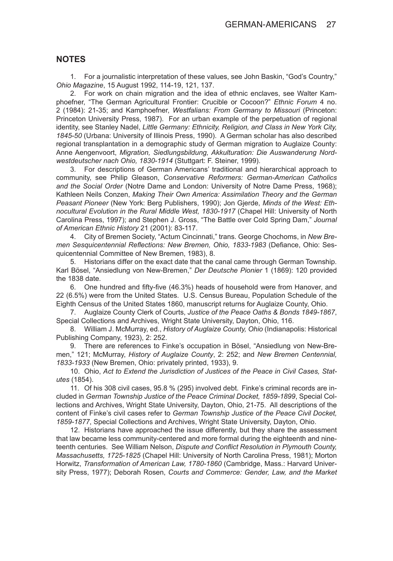#### **NOTES**

1. For a journalistic interpretation of these values, see John Baskin, "God's Country," *Ohio Magazine*, 15 August 1992, 114-19, 121, 137.

2. For work on chain migration and the idea of ethnic enclaves, see Walter Kamphoefner, "The German Agricultural Frontier: Crucible or Cocoon?" *Ethnic Forum* 4 no. 2 (1984): 21-35; and Kamphoefner, *Westfalians: From Germany to Missouri* (Princeton: Princeton University Press, 1987). For an urban example of the perpetuation of regional identity, see Stanley Nadel, *Little Germany: Ethnicity, Religion, and Class in New York City, 1845-50* (Urbana: University of Illinois Press, 1990). A German scholar has also described regional transplantation in a demographic study of German migration to Auglaize County: Anne Aengenvoort, *Migration, Siedlungsbildung, Akkulturation: Die Auswanderung Nordwestdeutscher nach Ohio, 1830-1914* (Stuttgart: F. Steiner, 1999).

3. For descriptions of German Americans' traditional and hierarchical approach to community, see Philip Gleason, *Conservative Reformers: German-American Catholics and the Social Order* (Notre Dame and London: University of Notre Dame Press, 1968); Kathleen Neils Conzen, *Making Their Own America: Assimilation Theory and the German Peasant Pioneer* (New York: Berg Publishers, 1990); Jon Gjerde, *Minds of the West: Ethnocultural Evolution in the Rural Middle West, 1830-1917* (Chapel Hill: University of North Carolina Press, 1997); and Stephen J. Gross, "The Battle over Cold Spring Dam," *Journal of American Ethnic History* 21 (2001): 83-117.

4. City of Bremen Society, "Actum Cincinnati," trans. George Chochoms, in *New Bremen Sesquicentennial Reflections: New Bremen, Ohio, 1833-1983* (Defiance, Ohio: Sesquicentennial Committee of New Bremen, 1983), 8.

5. Historians differ on the exact date that the canal came through German Township. Karl Bösel, "Ansiedlung von New-Bremen," *Der Deutsche Pionier* 1 (1869): 120 provided the 1838 date.

6. One hundred and fifty-five (46.3%) heads of household were from Hanover, and 22 (6.5%) were from the United States. U.S. Census Bureau, Population Schedule of the Eighth Census of the United States 1860, manuscript returns for Auglaize County, Ohio.

7. Auglaize County Clerk of Courts, *Justice of the Peace Oaths & Bonds 1849-1867*, Special Collections and Archives, Wright State University, Dayton, Ohio, 116.

8. William J. McMurray, ed., *History of Auglaize County, Ohio* (Indianapolis: Historical Publishing Company, 1923), 2: 252.

9. There are references to Finke's occupation in Bösel, "Ansiedlung von New-Bremen," 121; McMurray, *History of Auglaize County*, 2: 252; and *New Bremen Centennial, 1833-1933* (New Bremen, Ohio: privately printed, 1933), 9.

10. Ohio, *Act to Extend the Jurisdiction of Justices of the Peace in Civil Cases, Statutes* (1854).

11. Of his 308 civil cases, 95.8 % (295) involved debt. Finke's criminal records are included in *German Township Justice of the Peace Criminal Docket, 1859-1899*, Special Collections and Archives, Wright State University, Dayton, Ohio, 21-75. All descriptions of the content of Finke's civil cases refer to *German Township Justice of the Peace Civil Docket, 1859-1877*, Special Collections and Archives, Wright State University, Dayton, Ohio.

12. Historians have approached the issue differently, but they share the assessment that law became less community-centered and more formal during the eighteenth and nineteenth centuries. See William Nelson, *Dispute and Conflict Resolution in Plymouth County, Massachusetts, 1725-1825* (Chapel Hill: University of North Carolina Press, 1981); Morton Horwitz, *Transformation of American Law, 1780-1860* (Cambridge, Mass.: Harvard University Press, 1977); Deborah Rosen, *Courts and Commerce: Gender, Law, and the Market*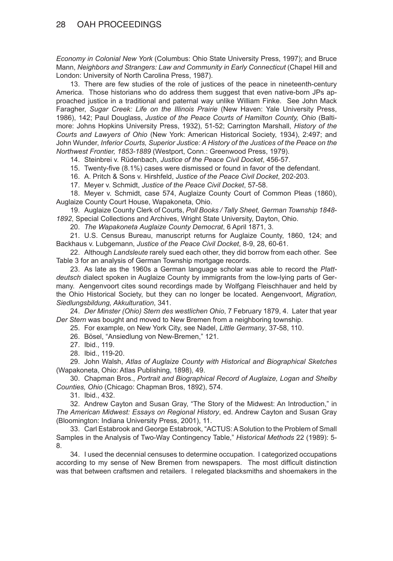### 28 OAH PROCEEDINGS

*Economy in Colonial New York* (Columbus: Ohio State University Press, 1997); and Bruce Mann, *Neighbors and Strangers: Law and Community in Early Connecticut* (Chapel Hill and London: University of North Carolina Press, 1987).

13. There are few studies of the role of justices of the peace in nineteenth-century America. Those historians who do address them suggest that even native-born JPs approached justice in a traditional and paternal way unlike William Finke. See John Mack Faragher, *Sugar Creek: Life on the Illinois Prairie* (New Haven: Yale University Press, 1986), 142; Paul Douglass, *Justice of the Peace Courts of Hamilton County, Ohio* (Baltimore: Johns Hopkins University Press, 1932), 51-52; Carrington Marshall, *History of the Courts and Lawyers of Ohio* (New York: American Historical Society, 1934), 2:497; and John Wunder, *Inferior Courts, Superior Justice: A History of the Justices of the Peace on the Northwest Frontier, 1853-1889* (Westport, Conn.: Greenwood Press, 1979).

14. Steinbrei v. Rüdenbach, *Justice of the Peace Civil Docket*, 456-57.

15. Twenty-five (8.1%) cases were dismissed or found in favor of the defendant.

16. A. Pritch & Sons v. Hirshfeld, *Justice of the Peace Civil Docket*, 202-203.

17. Meyer v. Schmidt, *Justice of the Peace Civil Docket*, 57-58.

18. Meyer v. Schmidt, case 574, Auglaize County Court of Common Pleas (1860), Auglaize County Court House, Wapakoneta, Ohio.

19. Auglaize County Clerk of Courts, *Poll Books / Tally Sheet, German Township 1848- 1892*, Special Collections and Archives, Wright State University, Dayton, Ohio.

20. *The Wapakoneta Auglaize County Democrat*, 6 April 1871, 3.

21. U.S. Census Bureau, manuscript returns for Auglaize County, 1860, 124; and Backhaus v. Lubgemann, *Justice of the Peace Civil Docket*, 8-9, 28, 60-61.

22. Although *Landsleute* rarely sued each other, they did borrow from each other. See Table 3 for an analysis of German Township mortgage records.

23. As late as the 1960s a German language scholar was able to record the *Plattdeutsch* dialect spoken in Auglaize County by immigrants from the low-lying parts of Germany. Aengenvoort cites sound recordings made by Wolfgang Fleischhauer and held by the Ohio Historical Society, but they can no longer be located. Aengenvoort, *Migration, Siedlungsbildung, Akkulturation*, 341.

24. *Der Minster (Ohio) Stern des westlichen Ohio*, 7 February 1879, 4. Later that year *Der Stern* was bought and moved to New Bremen from a neighboring township.

25. For example, on New York City, see Nadel, *Little Germany*, 37-58, 110.

26. Bösel, "Ansiedlung von New-Bremen," 121.

- 27. Ibid., 119.
- 28. Ibid., 119-20.

29. John Walsh, *Atlas of Auglaize County with Historical and Biographical Sketches* (Wapakoneta, Ohio: Atlas Publishing, 1898), 49.

30. Chapman Bros., *Portrait and Biographical Record of Auglaize, Logan and Shelby Counties, Ohio* (Chicago: Chapman Bros, 1892), 574.

31. Ibid., 432.

32. Andrew Cayton and Susan Gray, "The Story of the Midwest: An Introduction," in *The American Midwest: Essays on Regional History*, ed. Andrew Cayton and Susan Gray (Bloomington: Indiana University Press, 2001), 11.

33. Carl Estabrook and George Estabrook, "ACTUS: A Solution to the Problem of Small Samples in the Analysis of Two-Way Contingency Table," *Historical Methods* 22 (1989): 5- 8.

34. I used the decennial censuses to determine occupation. I categorized occupations according to my sense of New Bremen from newspapers. The most difficult distinction was that between craftsmen and retailers. I relegated blacksmiths and shoemakers in the